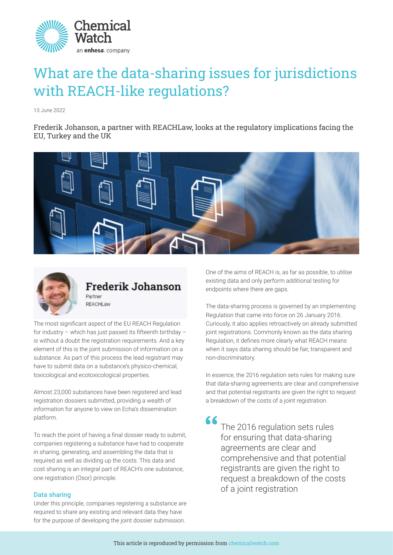

# What are the data-sharing issues for jurisdictions with REACH-like regulations?

13 June 2022

Frederik Johanson, a partner with REACHLaw, looks at the regulatory implications facing the EU, Turkey and the UK





# **Frederik Johanson** Partner

**REACHLaw** 

The most significant aspect of the EU REACH Regulation for industry – which has just passed its fifteenth birthday – is without a doubt the registration requirements. And a key element of this is the joint submission of information on a substance. As part of this process the lead registrant may have to submit data on a substance's physico-chemical, toxicological and ecotoxicological properties.

Almost 23,000 substances have been registered and lead registration dossiers submitted, providing a wealth of information for anyone to view on Echa's dissemination platform.

To reach the point of having a final dossier ready to submit, companies registering a substance have had to cooperate in sharing, generating, and assembling the data that is required as well as dividing up the costs. This data and cost sharing is an integral part of REACH's one substance, one registration (Osor) principle.

# Data sharing

Under this principle, companies registering a substance are required to share any existing and relevant data they have for the purpose of developing the joint dossier submission.

One of the aims of REACH is, as far as possible, to utilise existing data and only perform additional testing for endpoints where there are gaps.

The data-sharing process is governed by an implementing Regulation that came into force on 26 January 2016. Curiously, it also applies retroactively on already submitted joint registrations. Commonly known as the data sharing Regulation, it defines more clearly what REACH means when it says data sharing should be fair, transparent and non-discriminatory.

In essence, the 2016 regulation sets rules for making sure that data-sharing agreements are clear and comprehensive and that potential registrants are given the right to request a breakdown of the costs of a joint registration.

66 The 2016 regulation sets rules for ensuring that data-sharing agreements are clear and comprehensive and that potential registrants are given the right to request a breakdown of the costs of a joint registration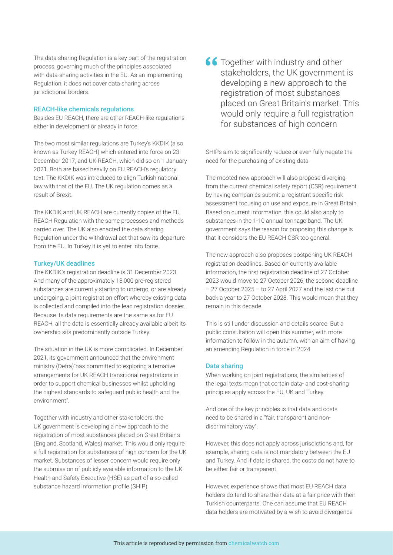The data sharing Regulation is a key part of the registration process, governing much of the principles associated with data-sharing activities in the EU. As an implementing Regulation, it does not cover data sharing across jurisdictional borders.

#### REACH-like chemicals regulations

Besides EU REACH, there are other REACH-like regulations either in development or already in force.

The two most similar regulations are Turkey's KKDIK (also known as Turkey REACH) which entered into force on 23 December 2017, and UK REACH, which did so on 1 January 2021. Both are based heavily on EU REACH's regulatory text. The KKDIK was introduced to align Turkish national law with that of the EU. The UK regulation comes as a result of Brexit.

The KKDIK and UK REACH are currently copies of the EU REACH Regulation with the same processes and methods carried over. The UK also enacted the data sharing Regulation under the withdrawal act that saw its departure from the EU. In Turkey it is yet to enter into force.

## Turkey/UK deadlines

The KKDIK's registration deadline is 31 December 2023. And many of the approximately 18,000 pre-registered substances are currently starting to undergo, or are already undergoing, a joint registration effort whereby existing data is collected and compiled into the lead registration dossier. Because its data requirements are the same as for EU REACH, all the data is essentially already available albeit its ownership sits predominantly outside Turkey.

The situation in the UK is more complicated. In December 2021, its government announced that the environment ministry (Defra)"has committed to exploring alternative arrangements for UK REACH transitional registrations in order to support chemical businesses whilst upholding the highest standards to safeguard public health and the environment".

Together with industry and other stakeholders, the UK government is developing a new approach to the registration of most substances placed on Great Britain's (England, Scotland, Wales) market. This would only require a full registration for substances of high concern for the UK market. Substances of lesser concern would require only the submission of publicly available information to the UK Health and Safety Executive (HSE) as part of a so-called substance hazard information profile (SHIP).

66 Together with industry and other stakeholders, the UK government is developing a new approach to the registration of most substances placed on Great Britain's market. This would only require a full registration for substances of high concern

SHIPs aim to significantly reduce or even fully negate the need for the purchasing of existing data.

The mooted new approach will also propose diverging from the current chemical safety report (CSR) requirement by having companies submit a registrant specific risk assessment focusing on use and exposure in Great Britain. Based on current information, this could also apply to substances in the 1-10 annual tonnage band. The UK government says the reason for proposing this change is that it considers the EU REACH CSR too general.

The new approach also proposes postponing UK REACH registration deadlines. Based on currently available information, the first registration deadline of 27 October 2023 would move to 27 October 2026, the second deadline – 27 October 2025 – to 27 April 2027 and the last one put back a year to 27 October 2028. This would mean that they remain in this decade.

This is still under discussion and details scarce. But a public consultation will open this summer, with more information to follow in the autumn, with an aim of having an amending Regulation in force in 2024.

#### Data sharing

When working on joint registrations, the similarities of the legal texts mean that certain data- and cost-sharing principles apply across the EU, UK and Turkey.

And one of the key principles is that data and costs need to be shared in a "fair, transparent and nondiscriminatory way".

However, this does not apply across jurisdictions and, for example, sharing data is not mandatory between the EU and Turkey. And if data is shared, the costs do not have to be either fair or transparent.

However, experience shows that most EU REACH data holders do tend to share their data at a fair price with their Turkish counterparts. One can assume that EU REACH data holders are motivated by a wish to avoid divergence